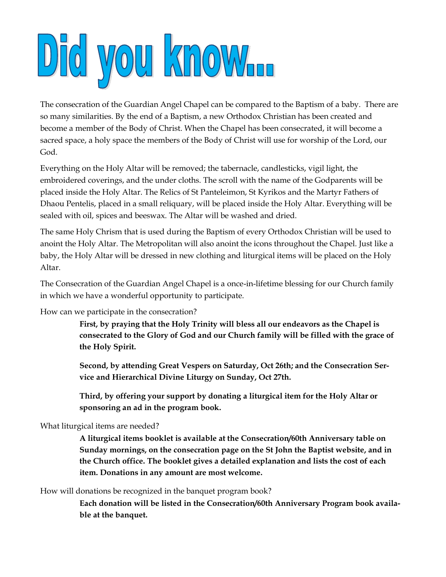## Did you know.

The consecration of the Guardian Angel Chapel can be compared to the Baptism of a baby. There are so many similarities. By the end of a Baptism, a new Orthodox Christian has been created and become a member of the Body of Christ. When the Chapel has been consecrated, it will become a sacred space, a holy space the members of the Body of Christ will use for worship of the Lord, our God.

Everything on the Holy Altar will be removed; the tabernacle, candlesticks, vigil light, the embroidered coverings, and the under cloths. The scroll with the name of the Godparents will be placed inside the Holy Altar. The Relics of St Panteleimon, St Kyrikos and the Martyr Fathers of Dhaou Pentelis, placed in a small reliquary, will be placed inside the Holy Altar. Everything will be sealed with oil, spices and beeswax. The Altar will be washed and dried.

The same Holy Chrism that is used during the Baptism of every Orthodox Christian will be used to anoint the Holy Altar. The Metropolitan will also anoint the icons throughout the Chapel. Just like a baby, the Holy Altar will be dressed in new clothing and liturgical items will be placed on the Holy Altar.

The Consecration of the Guardian Angel Chapel is a once-in-lifetime blessing for our Church family in which we have a wonderful opportunity to participate.

How can we participate in the consecration?

**First, by praying that the Holy Trinity will bless all our endeavors as the Chapel is consecrated to the Glory of God and our Church family will be filled with the grace of the Holy Spirit.**

**Second, by attending Great Vespers on Saturday, Oct 26th; and the Consecration Service and Hierarchical Divine Liturgy on Sunday, Oct 27th.** 

**Third, by offering your support by donating a liturgical item for the Holy Altar or sponsoring an ad in the program book.**

What liturgical items are needed?

**A liturgical items booklet is available at the Consecration/60th Anniversary table on Sunday mornings, on the consecration page on the St John the Baptist website, and in the Church office. The booklet gives a detailed explanation and lists the cost of each item. Donations in any amount are most welcome.**

How will donations be recognized in the banquet program book?

**Each donation will be listed in the Consecration/60th Anniversary Program book available at the banquet.**